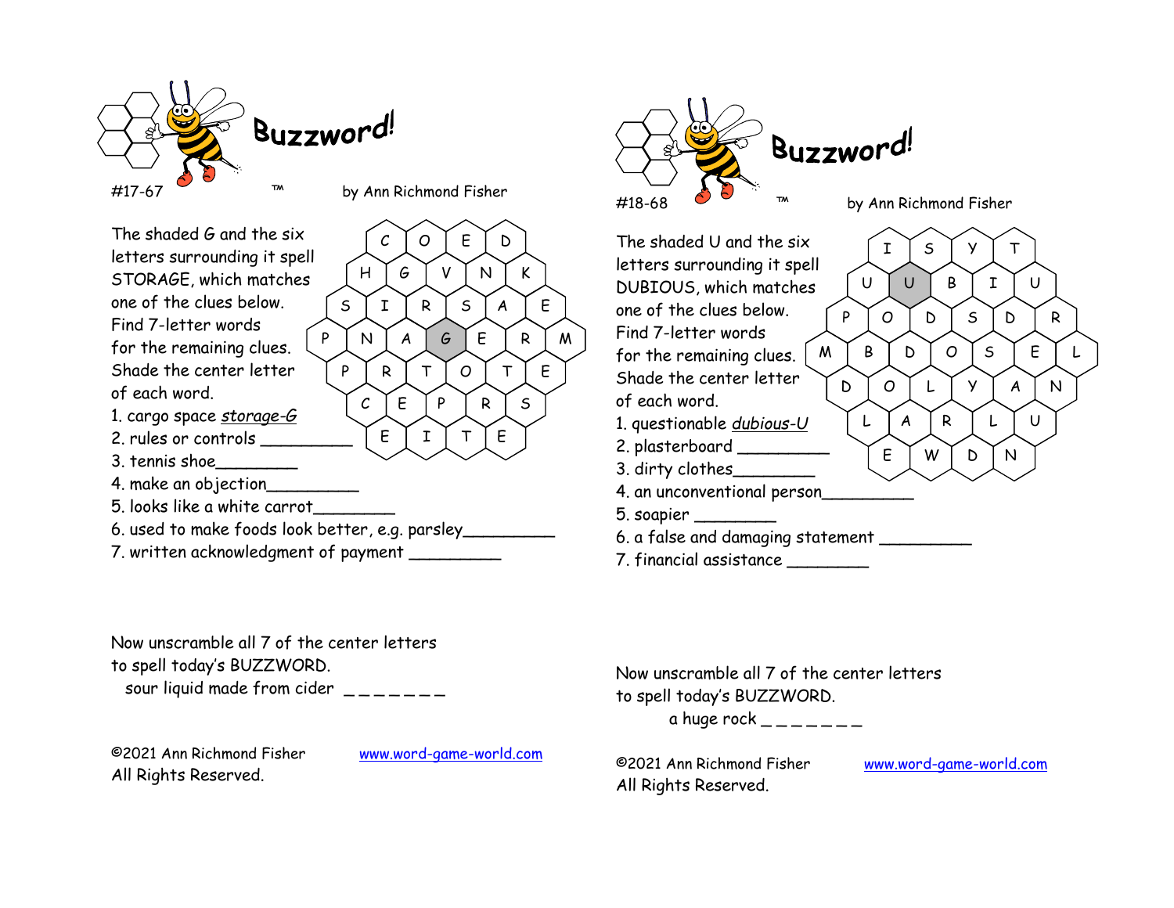

The shaded G and the six letters surrounding it spell STORAGE, which matches  $[H]$ one of the clues below. Find 7-letter words for the remaining clues. Shade the center letter  $\Gamma$  P of each word. 1. cargo space <u>storage-G</u><br>2. rules or controls 2. rules or controls  $\begin{bmatrix} E & I \end{bmatrix}$ 3. tennis shoe\_\_\_\_\_\_\_\_ 4. make an objection\_\_\_\_\_\_\_\_\_ 5. looks like a white carrot\_\_\_\_\_\_\_\_ 6. used to make foods look better, e.g. parsley\_\_\_\_\_\_\_\_\_  $C$  | O | E | D | H | G | V | N | K |  $S \mid I \mid R \mid S \mid A \mid E \mid$ P | N | *A* | *G* | E | R | M | 「<sup>INQ /-</sup> P | R | T | O | T | E |  $C$   $\mid$  E  $\mid$  P  $\mid$  R  $\mid$  S  $\mid$  $T \restriction E$ 

7. written acknowledgment of payment \_\_\_\_\_\_\_\_\_

Now unscramble all 7 of the center letters to spell today's BUZZWORD.

sour liquid made from cider  $\frac{1}{2}$  \_\_\_\_\_\_

©2021 Ann Richmond Fisher www.word-game-world.com ©2021 Ann Richmond Fisher All Rights Reserved.



The shaded U and the six  $\boxed{1}$ letters surrounding it spell DUBIOUS, which matches  $\bigcup$ one of the clues below. Find 7-letter words for the remaining clues.  $\mid M \rangle$ Shade the center letter  $\sqrt{\phantom{a}}_{\mathsf{D}}$ of each word. 1. questionable *dubious-U* 2. plasterboard \_\_\_\_\_\_\_\_\_ 3. dirty clothes 4. an unconventional person\_\_\_\_\_\_\_\_\_ 5. soapier \_\_\_\_\_\_\_\_ 6. a false and damaging statement \_\_\_\_\_\_\_\_\_  $I \vert S \vert Y \vert T \vert$ U | U | B | I | U | P | O | D | S | D | R | M | B | D | O | S | E | L |  $D$   $O$   $L$   $V$   $A$   $N$ L | A | R | L | U | E YWYDYN

7. financial assistance \_\_\_\_\_\_\_\_

Now unscramble all 7 of the center letters to spell today's BUZZWORD.

a huge rock  $-\,--\,---\,$ 

All Rights Reserved.

www.word-game-world.com